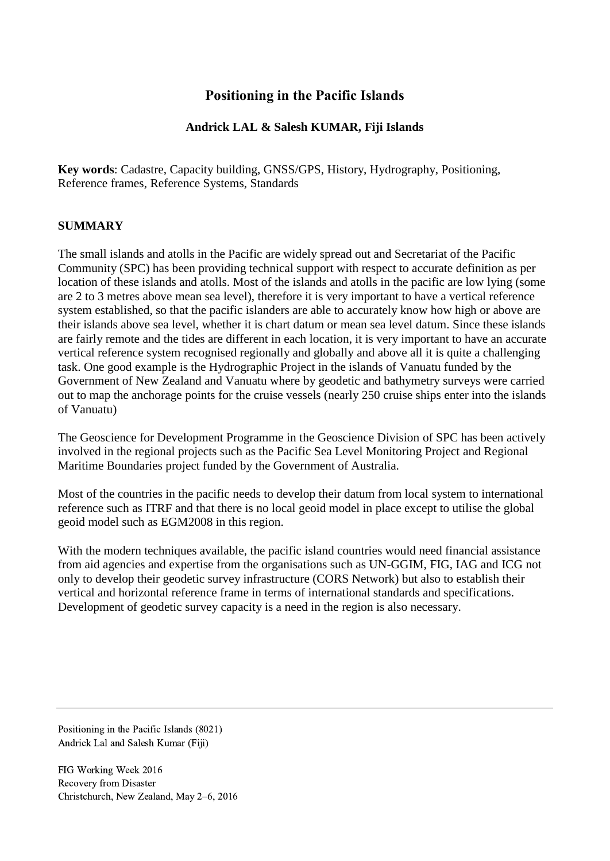# **Positioning in the Pacific Islands**

## **Andrick LAL & Salesh KUMAR, Fiji Islands**

**Key words**: Cadastre, Capacity building, GNSS/GPS, History, Hydrography, Positioning, Reference frames, Reference Systems, Standards

### **SUMMARY**

The small islands and atolls in the Pacific are widely spread out and Secretariat of the Pacific Community (SPC) has been providing technical support with respect to accurate definition as per location of these islands and atolls. Most of the islands and atolls in the pacific are low lying (some are 2 to 3 metres above mean sea level), therefore it is very important to have a vertical reference system established, so that the pacific islanders are able to accurately know how high or above are their islands above sea level, whether it is chart datum or mean sea level datum. Since these islands are fairly remote and the tides are different in each location, it is very important to have an accurate vertical reference system recognised regionally and globally and above all it is quite a challenging task. One good example is the Hydrographic Project in the islands of Vanuatu funded by the Government of New Zealand and Vanuatu where by geodetic and bathymetry surveys were carried out to map the anchorage points for the cruise vessels (nearly 250 cruise ships enter into the islands of Vanuatu)

The Geoscience for Development Programme in the Geoscience Division of SPC has been actively involved in the regional projects such as the Pacific Sea Level Monitoring Project and Regional Maritime Boundaries project funded by the Government of Australia.

Most of the countries in the pacific needs to develop their datum from local system to international reference such as ITRF and that there is no local geoid model in place except to utilise the global geoid model such as EGM2008 in this region.

With the modern techniques available, the pacific island countries would need financial assistance from aid agencies and expertise from the organisations such as UN-GGIM, FIG, IAG and ICG not only to develop their geodetic survey infrastructure (CORS Network) but also to establish their vertical and horizontal reference frame in terms of international standards and specifications. Development of geodetic survey capacity is a need in the region is also necessary.

Positioning in the Pacific Islands (8021) Andrick Lal and Salesh Kumar (Fiji)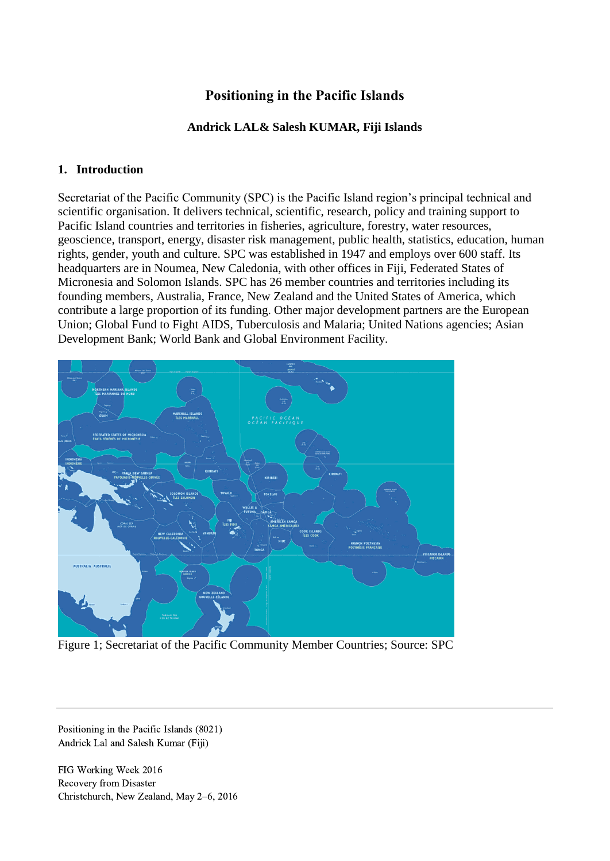# **Positioning in the Pacific Islands**

## **Andrick LAL& Salesh KUMAR, Fiji Islands**

### **1. Introduction**

Secretariat of the Pacific Community (SPC) is the Pacific Island region's principal technical and scientific organisation. It delivers technical, scientific, research, policy and training support to Pacific Island countries and territories in fisheries, agriculture, forestry, water resources, geoscience, transport, energy, disaster risk management, public health, statistics, education, human rights, gender, youth and culture. SPC was established in 1947 and employs over 600 staff. Its headquarters are in Noumea, New Caledonia, with other offices in Fiji, Federated States of Micronesia and Solomon Islands. SPC has 26 member countries and territories including its founding members, Australia, France, New Zealand and the United States of America, which contribute a large proportion of its funding. Other major development partners are the European Union; Global Fund to Fight AIDS, Tuberculosis and Malaria; United Nations agencies; Asian Development Bank; World Bank and Global Environment Facility.



Figure 1; Secretariat of the Pacific Community Member Countries; Source: SPC

Positioning in the Pacific Islands (8021) Andrick Lal and Salesh Kumar (Fiji)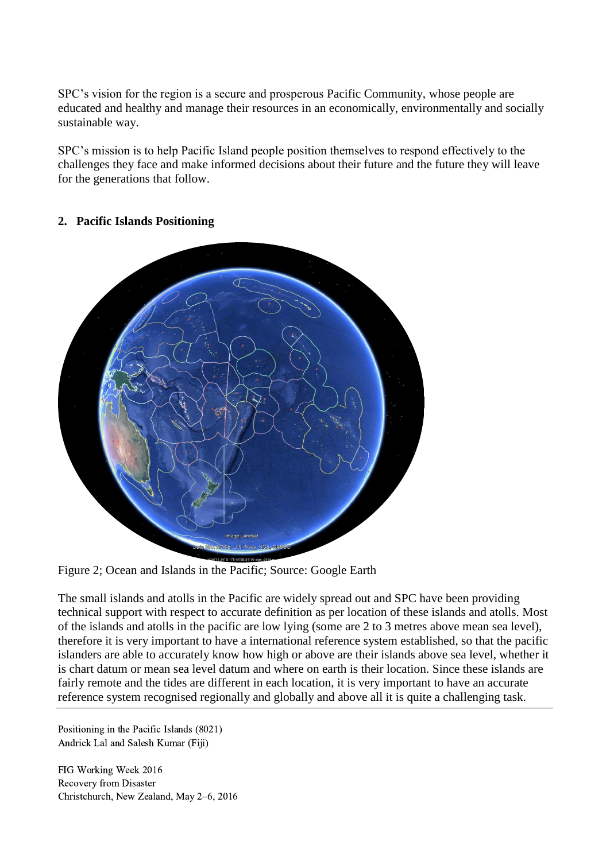SPC's vision for the region is a secure and prosperous Pacific Community, whose people are educated and healthy and manage their resources in an economically, environmentally and socially sustainable way.

SPC's mission is to help Pacific Island people position themselves to respond effectively to the challenges they face and make informed decisions about their future and the future they will leave for the generations that follow.

### **2. Pacific Islands Positioning**



Figure 2; Ocean and Islands in the Pacific; Source: Google Earth

The small islands and atolls in the Pacific are widely spread out and SPC have been providing technical support with respect to accurate definition as per location of these islands and atolls. Most of the islands and atolls in the pacific are low lying (some are 2 to 3 metres above mean sea level), therefore it is very important to have a international reference system established, so that the pacific islanders are able to accurately know how high or above are their islands above sea level, whether it is chart datum or mean sea level datum and where on earth is their location. Since these islands are fairly remote and the tides are different in each location, it is very important to have an accurate reference system recognised regionally and globally and above all it is quite a challenging task.

Positioning in the Pacific Islands (8021) Andrick Lal and Salesh Kumar (Fiji)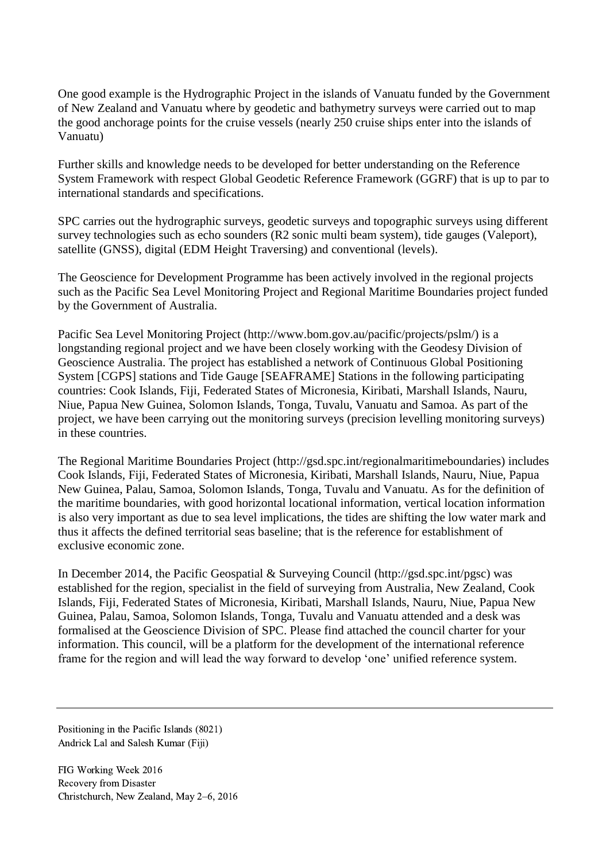One good example is the Hydrographic Project in the islands of Vanuatu funded by the Government of New Zealand and Vanuatu where by geodetic and bathymetry surveys were carried out to map the good anchorage points for the cruise vessels (nearly 250 cruise ships enter into the islands of Vanuatu)

Further skills and knowledge needs to be developed for better understanding on the Reference System Framework with respect Global Geodetic Reference Framework (GGRF) that is up to par to international standards and specifications.

SPC carries out the hydrographic surveys, geodetic surveys and topographic surveys using different survey technologies such as echo sounders (R2 sonic multi beam system), tide gauges (Valeport), satellite (GNSS), digital (EDM Height Traversing) and conventional (levels).

The Geoscience for Development Programme has been actively involved in the regional projects such as the Pacific Sea Level Monitoring Project and Regional Maritime Boundaries project funded by the Government of Australia.

Pacific Sea Level Monitoring Project (http://www.bom.gov.au/pacific/projects/pslm/) is a longstanding regional project and we have been closely working with the Geodesy Division of Geoscience Australia. The project has established a network of Continuous Global Positioning System [CGPS] stations and Tide Gauge [SEAFRAME] Stations in the following participating countries: Cook Islands, Fiji, Federated States of Micronesia, Kiribati, Marshall Islands, Nauru, Niue, Papua New Guinea, Solomon Islands, Tonga, Tuvalu, Vanuatu and Samoa. As part of the project, we have been carrying out the monitoring surveys (precision levelling monitoring surveys) in these countries.

The Regional Maritime Boundaries Project (http://gsd.spc.int/regionalmaritimeboundaries) includes Cook Islands, Fiji, Federated States of Micronesia, Kiribati, Marshall Islands, Nauru, Niue, Papua New Guinea, Palau, Samoa, Solomon Islands, Tonga, Tuvalu and Vanuatu. As for the definition of the maritime boundaries, with good horizontal locational information, vertical location information is also very important as due to sea level implications, the tides are shifting the low water mark and thus it affects the defined territorial seas baseline; that is the reference for establishment of exclusive economic zone.

In December 2014, the Pacific Geospatial & Surveying Council (http://gsd.spc.int/pgsc) was established for the region, specialist in the field of surveying from Australia, New Zealand, Cook Islands, Fiji, Federated States of Micronesia, Kiribati, Marshall Islands, Nauru, Niue, Papua New Guinea, Palau, Samoa, Solomon Islands, Tonga, Tuvalu and Vanuatu attended and a desk was formalised at the Geoscience Division of SPC. Please find attached the council charter for your information. This council, will be a platform for the development of the international reference frame for the region and will lead the way forward to develop 'one' unified reference system.

Positioning in the Pacific Islands (8021) Andrick Lal and Salesh Kumar (Fiji)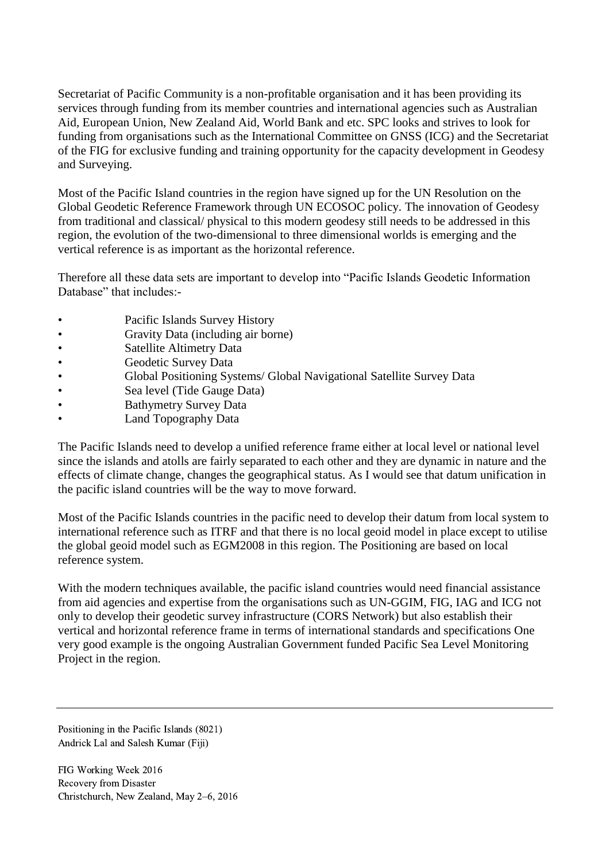Secretariat of Pacific Community is a non-profitable organisation and it has been providing its services through funding from its member countries and international agencies such as Australian Aid, European Union, New Zealand Aid, World Bank and etc. SPC looks and strives to look for funding from organisations such as the International Committee on GNSS (ICG) and the Secretariat of the FIG for exclusive funding and training opportunity for the capacity development in Geodesy and Surveying.

Most of the Pacific Island countries in the region have signed up for the UN Resolution on the Global Geodetic Reference Framework through UN ECOSOC policy. The innovation of Geodesy from traditional and classical/ physical to this modern geodesy still needs to be addressed in this region, the evolution of the two-dimensional to three dimensional worlds is emerging and the vertical reference is as important as the horizontal reference.

Therefore all these data sets are important to develop into "Pacific Islands Geodetic Information Database" that includes:-

- Pacific Islands Survey History
- Gravity Data (including air borne)
- Satellite Altimetry Data
- **Geodetic Survey Data**
- Global Positioning Systems/ Global Navigational Satellite Survey Data
- Sea level (Tide Gauge Data)
- **Bathymetry Survey Data**
- Land Topography Data

The Pacific Islands need to develop a unified reference frame either at local level or national level since the islands and atolls are fairly separated to each other and they are dynamic in nature and the effects of climate change, changes the geographical status. As I would see that datum unification in the pacific island countries will be the way to move forward.

Most of the Pacific Islands countries in the pacific need to develop their datum from local system to international reference such as ITRF and that there is no local geoid model in place except to utilise the global geoid model such as EGM2008 in this region. The Positioning are based on local reference system.

With the modern techniques available, the pacific island countries would need financial assistance from aid agencies and expertise from the organisations such as UN-GGIM, FIG, IAG and ICG not only to develop their geodetic survey infrastructure (CORS Network) but also establish their vertical and horizontal reference frame in terms of international standards and specifications One very good example is the ongoing Australian Government funded Pacific Sea Level Monitoring Project in the region.

Positioning in the Pacific Islands (8021) Andrick Lal and Salesh Kumar (Fiji)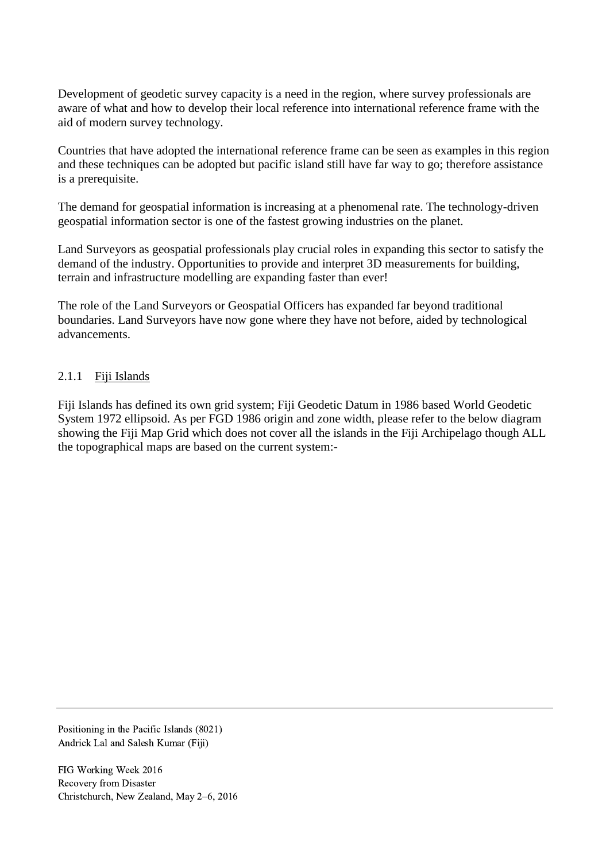Development of geodetic survey capacity is a need in the region, where survey professionals are aware of what and how to develop their local reference into international reference frame with the aid of modern survey technology.

Countries that have adopted the international reference frame can be seen as examples in this region and these techniques can be adopted but pacific island still have far way to go; therefore assistance is a prerequisite.

The demand for geospatial information is increasing at a phenomenal rate. The technology-driven geospatial information sector is one of the fastest growing industries on the planet.

Land Surveyors as geospatial professionals play crucial roles in expanding this sector to satisfy the demand of the industry. Opportunities to provide and interpret 3D measurements for building, terrain and infrastructure modelling are expanding faster than ever!

The role of the Land Surveyors or Geospatial Officers has expanded far beyond traditional boundaries. Land Surveyors have now gone where they have not before, aided by technological advancements.

#### 2.1.1 Fiji Islands

Fiji Islands has defined its own grid system; Fiji Geodetic Datum in 1986 based World Geodetic System 1972 ellipsoid. As per FGD 1986 origin and zone width, please refer to the below diagram showing the Fiji Map Grid which does not cover all the islands in the Fiji Archipelago though ALL the topographical maps are based on the current system:-

Positioning in the Pacific Islands (8021) Andrick Lal and Salesh Kumar (Fiji)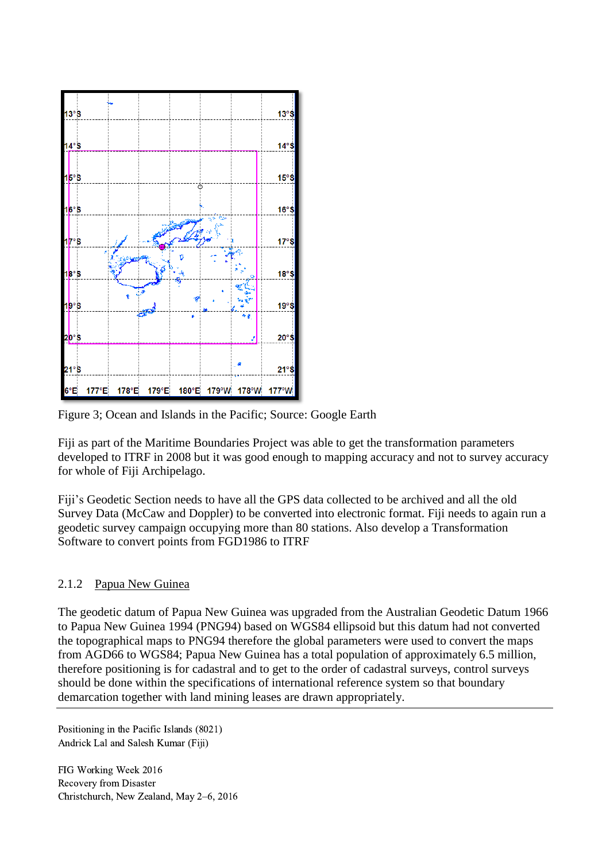

Figure 3; Ocean and Islands in the Pacific; Source: Google Earth

Fiji as part of the Maritime Boundaries Project was able to get the transformation parameters developed to ITRF in 2008 but it was good enough to mapping accuracy and not to survey accuracy for whole of Fiji Archipelago.

Fiji's Geodetic Section needs to have all the GPS data collected to be archived and all the old Survey Data (McCaw and Doppler) to be converted into electronic format. Fiji needs to again run a geodetic survey campaign occupying more than 80 stations. Also develop a Transformation Software to convert points from FGD1986 to ITRF

# 2.1.2 Papua New Guinea

The geodetic datum of Papua New Guinea was upgraded from the Australian Geodetic Datum 1966 to Papua New Guinea 1994 (PNG94) based on WGS84 ellipsoid but this datum had not converted the topographical maps to PNG94 therefore the global parameters were used to convert the maps from AGD66 to WGS84; Papua New Guinea has a total population of approximately 6.5 million, therefore positioning is for cadastral and to get to the order of cadastral surveys, control surveys should be done within the specifications of international reference system so that boundary demarcation together with land mining leases are drawn appropriately.

Positioning in the Pacific Islands (8021) Andrick Lal and Salesh Kumar (Fiji)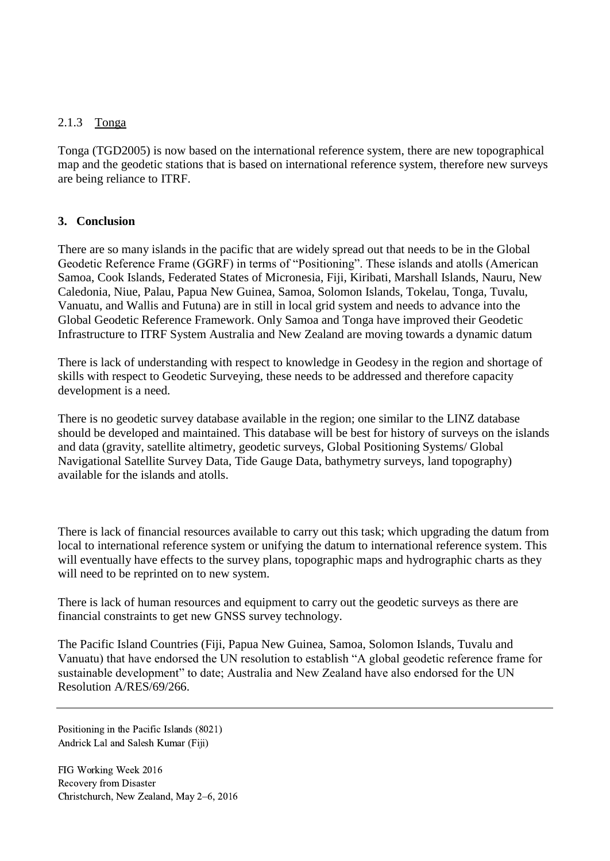### 2.1.3 Tonga

Tonga (TGD2005) is now based on the international reference system, there are new topographical map and the geodetic stations that is based on international reference system, therefore new surveys are being reliance to ITRF.

### **3. Conclusion**

There are so many islands in the pacific that are widely spread out that needs to be in the Global Geodetic Reference Frame (GGRF) in terms of "Positioning". These islands and atolls (American Samoa, Cook Islands, Federated States of Micronesia, Fiji, Kiribati, Marshall Islands, Nauru, New Caledonia, Niue, Palau, Papua New Guinea, Samoa, Solomon Islands, Tokelau, Tonga, Tuvalu, Vanuatu, and Wallis and Futuna) are in still in local grid system and needs to advance into the Global Geodetic Reference Framework. Only Samoa and Tonga have improved their Geodetic Infrastructure to ITRF System Australia and New Zealand are moving towards a dynamic datum

There is lack of understanding with respect to knowledge in Geodesy in the region and shortage of skills with respect to Geodetic Surveying, these needs to be addressed and therefore capacity development is a need.

There is no geodetic survey database available in the region; one similar to the LINZ database should be developed and maintained. This database will be best for history of surveys on the islands and data (gravity, satellite altimetry, geodetic surveys, Global Positioning Systems/ Global Navigational Satellite Survey Data, Tide Gauge Data, bathymetry surveys, land topography) available for the islands and atolls.

There is lack of financial resources available to carry out this task; which upgrading the datum from local to international reference system or unifying the datum to international reference system. This will eventually have effects to the survey plans, topographic maps and hydrographic charts as they will need to be reprinted on to new system.

There is lack of human resources and equipment to carry out the geodetic surveys as there are financial constraints to get new GNSS survey technology.

The Pacific Island Countries (Fiji, Papua New Guinea, Samoa, Solomon Islands, Tuvalu and Vanuatu) that have endorsed the UN resolution to establish "A global geodetic reference frame for sustainable development" to date; Australia and New Zealand have also endorsed for the UN Resolution A/RES/69/266.

Positioning in the Pacific Islands (8021) Andrick Lal and Salesh Kumar (Fiji)